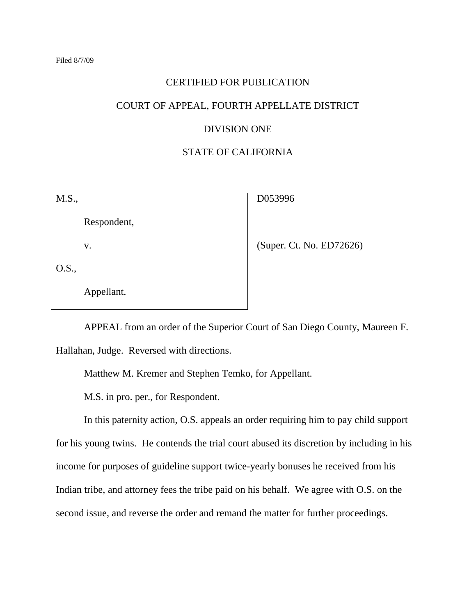## CERTIFIED FOR PUBLICATION

## COURT OF APPEAL, FOURTH APPELLATE DISTRICT

# DIVISION ONE

# STATE OF CALIFORNIA

M.S.,

D053996

Respondent,

v.

(Super. Ct. No. ED72626)

O.S.,

Appellant.

APPEAL from an order of the Superior Court of San Diego County, Maureen F. Hallahan, Judge. Reversed with directions.

Matthew M. Kremer and Stephen Temko, for Appellant.

M.S. in pro. per., for Respondent.

In this paternity action, O.S. appeals an order requiring him to pay child support for his young twins. He contends the trial court abused its discretion by including in his income for purposes of guideline support twice-yearly bonuses he received from his Indian tribe, and attorney fees the tribe paid on his behalf. We agree with O.S. on the second issue, and reverse the order and remand the matter for further proceedings.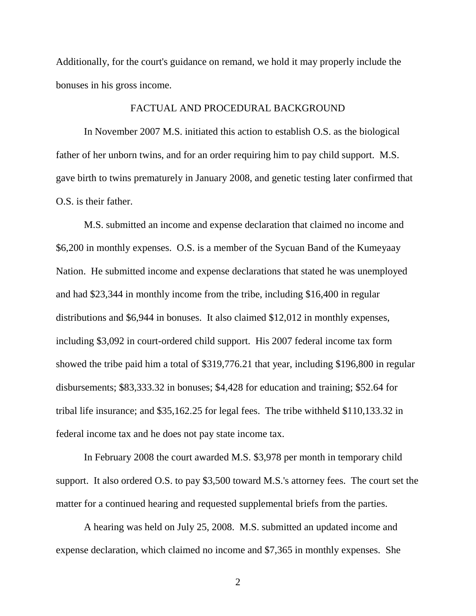Additionally, for the court's guidance on remand, we hold it may properly include the bonuses in his gross income.

## FACTUAL AND PROCEDURAL BACKGROUND

In November 2007 M.S. initiated this action to establish O.S. as the biological father of her unborn twins, and for an order requiring him to pay child support. M.S. gave birth to twins prematurely in January 2008, and genetic testing later confirmed that O.S. is their father.

M.S. submitted an income and expense declaration that claimed no income and \$6,200 in monthly expenses. O.S. is a member of the Sycuan Band of the Kumeyaay Nation. He submitted income and expense declarations that stated he was unemployed and had \$23,344 in monthly income from the tribe, including \$16,400 in regular distributions and \$6,944 in bonuses. It also claimed \$12,012 in monthly expenses, including \$3,092 in court-ordered child support. His 2007 federal income tax form showed the tribe paid him a total of \$319,776.21 that year, including \$196,800 in regular disbursements; \$83,333.32 in bonuses; \$4,428 for education and training; \$52.64 for tribal life insurance; and \$35,162.25 for legal fees. The tribe withheld \$110,133.32 in federal income tax and he does not pay state income tax.

In February 2008 the court awarded M.S. \$3,978 per month in temporary child support. It also ordered O.S. to pay \$3,500 toward M.S.'s attorney fees. The court set the matter for a continued hearing and requested supplemental briefs from the parties.

A hearing was held on July 25, 2008. M.S. submitted an updated income and expense declaration, which claimed no income and \$7,365 in monthly expenses. She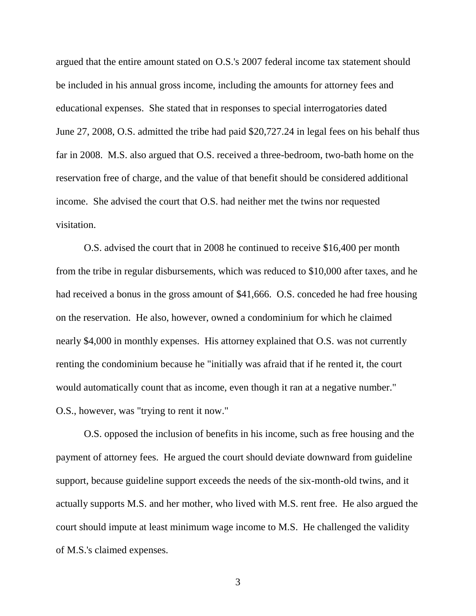argued that the entire amount stated on O.S.'s 2007 federal income tax statement should be included in his annual gross income, including the amounts for attorney fees and educational expenses. She stated that in responses to special interrogatories dated June 27, 2008, O.S. admitted the tribe had paid \$20,727.24 in legal fees on his behalf thus far in 2008. M.S. also argued that O.S. received a three-bedroom, two-bath home on the reservation free of charge, and the value of that benefit should be considered additional income. She advised the court that O.S. had neither met the twins nor requested visitation.

O.S. advised the court that in 2008 he continued to receive \$16,400 per month from the tribe in regular disbursements, which was reduced to \$10,000 after taxes, and he had received a bonus in the gross amount of \$41,666. O.S. conceded he had free housing on the reservation. He also, however, owned a condominium for which he claimed nearly \$4,000 in monthly expenses. His attorney explained that O.S. was not currently renting the condominium because he "initially was afraid that if he rented it, the court would automatically count that as income, even though it ran at a negative number." O.S., however, was "trying to rent it now."

O.S. opposed the inclusion of benefits in his income, such as free housing and the payment of attorney fees. He argued the court should deviate downward from guideline support, because guideline support exceeds the needs of the six-month-old twins, and it actually supports M.S. and her mother, who lived with M.S. rent free. He also argued the court should impute at least minimum wage income to M.S. He challenged the validity of M.S.'s claimed expenses.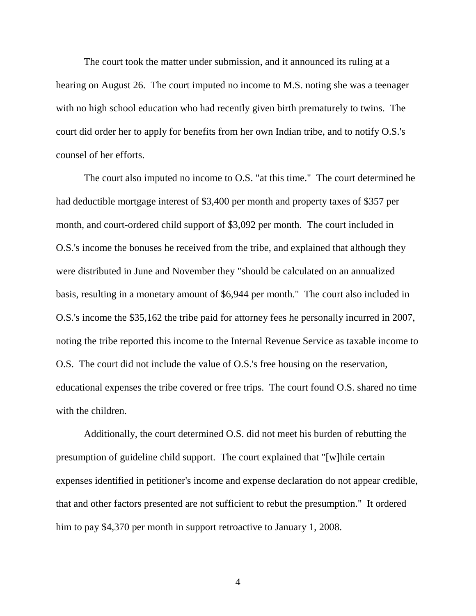The court took the matter under submission, and it announced its ruling at a hearing on August 26. The court imputed no income to M.S. noting she was a teenager with no high school education who had recently given birth prematurely to twins. The court did order her to apply for benefits from her own Indian tribe, and to notify O.S.'s counsel of her efforts.

The court also imputed no income to O.S. "at this time." The court determined he had deductible mortgage interest of \$3,400 per month and property taxes of \$357 per month, and court-ordered child support of \$3,092 per month. The court included in O.S.'s income the bonuses he received from the tribe, and explained that although they were distributed in June and November they "should be calculated on an annualized basis, resulting in a monetary amount of \$6,944 per month." The court also included in O.S.'s income the \$35,162 the tribe paid for attorney fees he personally incurred in 2007, noting the tribe reported this income to the Internal Revenue Service as taxable income to O.S. The court did not include the value of O.S.'s free housing on the reservation, educational expenses the tribe covered or free trips. The court found O.S. shared no time with the children.

Additionally, the court determined O.S. did not meet his burden of rebutting the presumption of guideline child support. The court explained that "[w]hile certain expenses identified in petitioner's income and expense declaration do not appear credible, that and other factors presented are not sufficient to rebut the presumption." It ordered him to pay \$4,370 per month in support retroactive to January 1, 2008.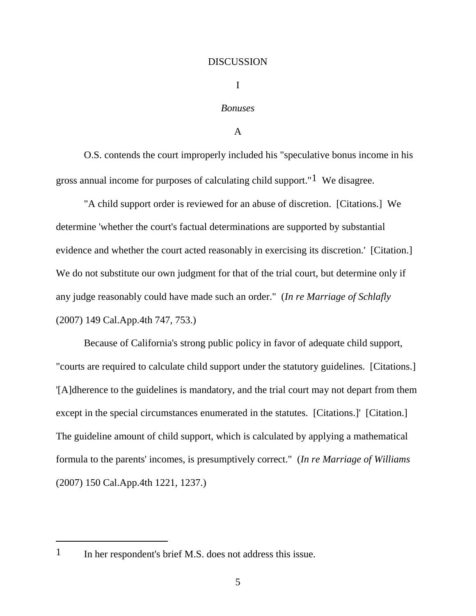#### DISCUSSION

I

# *Bonuses*

A

O.S. contends the court improperly included his "speculative bonus income in his gross annual income for purposes of calculating child support." $1$  We disagree.

"A child support order is reviewed for an abuse of discretion. [Citations.] We determine 'whether the court's factual determinations are supported by substantial evidence and whether the court acted reasonably in exercising its discretion.' [Citation.] We do not substitute our own judgment for that of the trial court, but determine only if any judge reasonably could have made such an order." (*In re Marriage of Schlafly*  (2007) 149 Cal.App.4th 747, 753.)

Because of California's strong public policy in favor of adequate child support, "courts are required to calculate child support under the statutory guidelines. [Citations.] '[A]dherence to the guidelines is mandatory, and the trial court may not depart from them except in the special circumstances enumerated in the statutes. [Citations.]' [Citation.] The guideline amount of child support, which is calculated by applying a mathematical formula to the parents' incomes, is presumptively correct." (*In re Marriage of Williams*  (2007) 150 Cal.App.4th 1221, 1237.)

1 In her respondent's brief M.S. does not address this issue.

 $\overline{a}$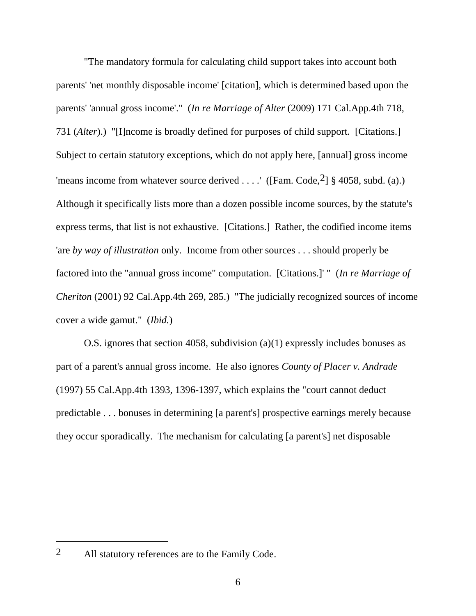"The mandatory formula for calculating child support takes into account both parents' 'net monthly disposable income' [citation], which is determined based upon the parents' 'annual gross income'." (*In re Marriage of Alter* (2009) 171 Cal.App.4th 718, 731 (*Alter*).) "[I]ncome is broadly defined for purposes of child support. [Citations.] Subject to certain statutory exceptions, which do not apply here, [annual] gross income 'means income from whatever source derived . . . .' ([Fam. Code,  $2$ ] § 4058, subd. (a).) Although it specifically lists more than a dozen possible income sources, by the statute's express terms, that list is not exhaustive. [Citations.] Rather, the codified income items 'are *by way of illustration* only. Income from other sources . . . should properly be factored into the "annual gross income" computation. [Citations.]' " (*In re Marriage of Cheriton* (2001) 92 Cal.App.4th 269, 285.) "The judicially recognized sources of income cover a wide gamut." (*Ibid.*)

O.S. ignores that section 4058, subdivision (a)(1) expressly includes bonuses as part of a parent's annual gross income. He also ignores *County of Placer v. Andrade*  (1997) 55 Cal.App.4th 1393, 1396-1397, which explains the "court cannot deduct predictable . . . bonuses in determining [a parent's] prospective earnings merely because they occur sporadically. The mechanism for calculating [a parent's] net disposable

 $\overline{a}$ 

<sup>2</sup> All statutory references are to the Family Code.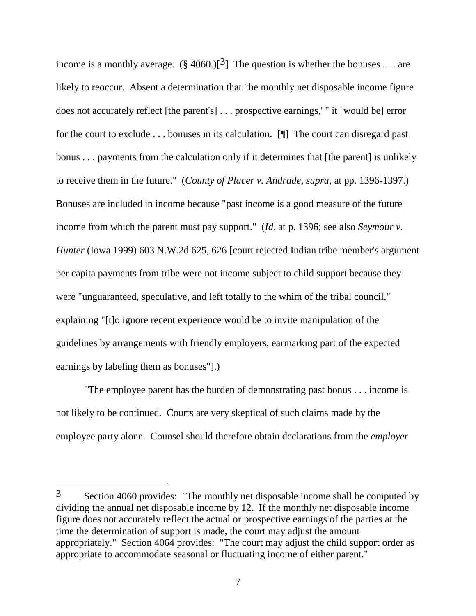income is a monthly average.  $(\S 4060.)$ [<sup>3</sup>] The question is whether the bonuses . . . are likely to reoccur. Absent a determination that 'the monthly net disposable income figure does not accurately reflect [the parent's] . . . prospective earnings,' " it [would be] error for the court to exclude . . . bonuses in its calculation. [¶] The court can disregard past bonus . . . payments from the calculation only if it determines that [the parent] is unlikely to receive them in the future." (*County of Placer v. Andrade, supra,* at pp. 1396-1397.) Bonuses are included in income because "past income is a good measure of the future income from which the parent must pay support." (*Id*. at p. 1396; see also *Seymour v. Hunter* (Iowa 1999) 603 N.W.2d 625, 626 [court rejected Indian tribe member's argument per capita payments from tribe were not income subject to child support because they were "unguaranteed, speculative, and left totally to the whim of the tribal council," explaining "[t]o ignore recent experience would be to invite manipulation of the guidelines by arrangements with friendly employers, earmarking part of the expected earnings by labeling them as bonuses"].)

"The employee parent has the burden of demonstrating past bonus . . . income is not likely to be continued. Courts are very skeptical of such claims made by the employee party alone. Counsel should therefore obtain declarations from the *employer* 

<sup>3</sup> Section 4060 provides: "The monthly net disposable income shall be computed by dividing the annual net disposable income by 12. If the monthly net disposable income figure does not accurately reflect the actual or prospective earnings of the parties at the time the determination of support is made, the court may adjust the amount appropriately." Section 4064 provides: "The court may adjust the child support order as appropriate to accommodate seasonal or fluctuating income of either parent."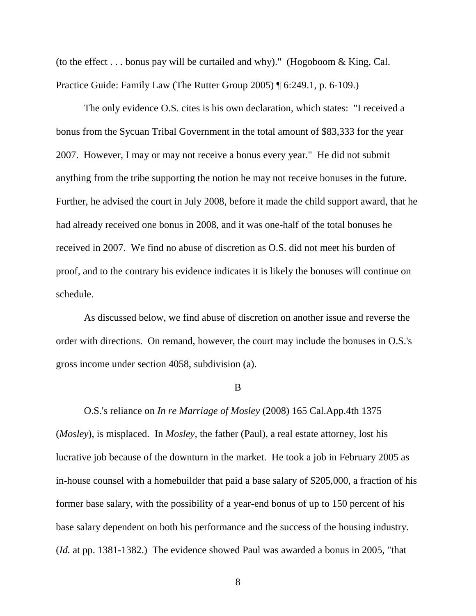(to the effect  $\dots$  bonus pay will be curtailed and why)." (Hogoboom & King, Cal. Practice Guide: Family Law (The Rutter Group 2005) ¶ 6:249.1, p. 6-109.)

The only evidence O.S. cites is his own declaration, which states: "I received a bonus from the Sycuan Tribal Government in the total amount of \$83,333 for the year 2007. However, I may or may not receive a bonus every year." He did not submit anything from the tribe supporting the notion he may not receive bonuses in the future. Further, he advised the court in July 2008, before it made the child support award, that he had already received one bonus in 2008, and it was one-half of the total bonuses he received in 2007. We find no abuse of discretion as O.S. did not meet his burden of proof, and to the contrary his evidence indicates it is likely the bonuses will continue on schedule.

As discussed below, we find abuse of discretion on another issue and reverse the order with directions. On remand, however, the court may include the bonuses in O.S.'s gross income under section 4058, subdivision (a).

B

O.S.'s reliance on *In re Marriage of Mosley* (2008) 165 Cal.App.4th 1375 (*Mosley*), is misplaced. In *Mosley,* the father (Paul), a real estate attorney, lost his lucrative job because of the downturn in the market. He took a job in February 2005 as in-house counsel with a homebuilder that paid a base salary of \$205,000, a fraction of his former base salary, with the possibility of a year-end bonus of up to 150 percent of his base salary dependent on both his performance and the success of the housing industry. (*Id.* at pp. 1381-1382.) The evidence showed Paul was awarded a bonus in 2005, "that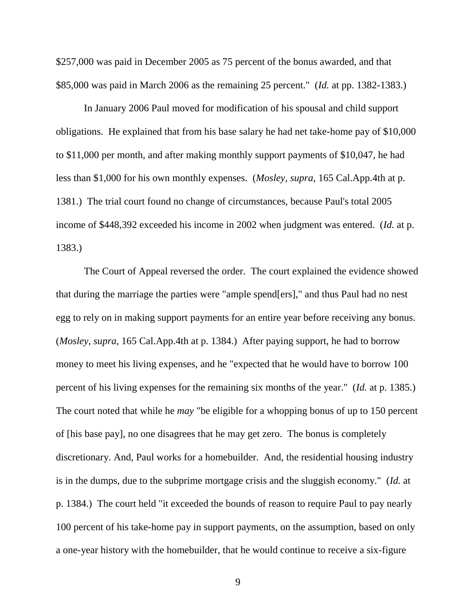\$257,000 was paid in December 2005 as 75 percent of the bonus awarded, and that \$85,000 was paid in March 2006 as the remaining 25 percent." (*Id.* at pp. 1382-1383.)

In January 2006 Paul moved for modification of his spousal and child support obligations. He explained that from his base salary he had net take-home pay of \$10,000 to \$11,000 per month, and after making monthly support payments of \$10,047, he had less than \$1,000 for his own monthly expenses. (*Mosley, supra,* 165 Cal.App.4th at p. 1381.) The trial court found no change of circumstances, because Paul's total 2005 income of \$448,392 exceeded his income in 2002 when judgment was entered. (*Id.* at p. 1383.)

The Court of Appeal reversed the order. The court explained the evidence showed that during the marriage the parties were "ample spend[ers]," and thus Paul had no nest egg to rely on in making support payments for an entire year before receiving any bonus. (*Mosley, supra,* 165 Cal.App.4th at p. 1384.) After paying support, he had to borrow money to meet his living expenses, and he "expected that he would have to borrow 100 percent of his living expenses for the remaining six months of the year." (*Id.* at p. 1385.) The court noted that while he *may* "be eligible for a whopping bonus of up to 150 percent of [his base pay], no one disagrees that he may get zero. The bonus is completely discretionary. And, Paul works for a homebuilder. And, the residential housing industry is in the dumps, due to the subprime mortgage crisis and the sluggish economy." (*Id.* at p. 1384.) The court held "it exceeded the bounds of reason to require Paul to pay nearly 100 percent of his take-home pay in support payments, on the assumption, based on only a one-year history with the homebuilder, that he would continue to receive a six-figure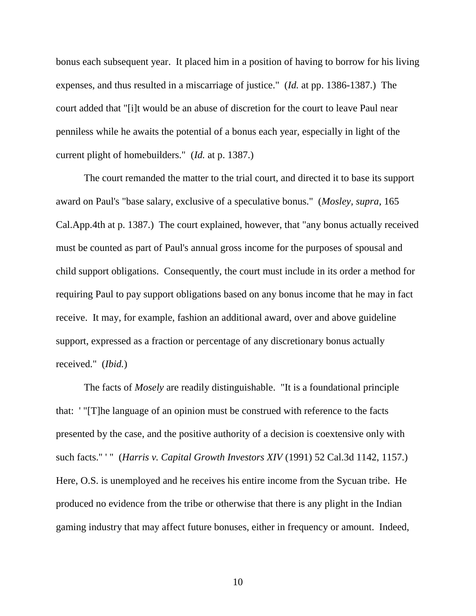bonus each subsequent year. It placed him in a position of having to borrow for his living expenses, and thus resulted in a miscarriage of justice." (*Id.* at pp. 1386-1387.) The court added that "[i]t would be an abuse of discretion for the court to leave Paul near penniless while he awaits the potential of a bonus each year, especially in light of the current plight of homebuilders." (*Id.* at p. 1387.)

The court remanded the matter to the trial court, and directed it to base its support award on Paul's "base salary, exclusive of a speculative bonus." (*Mosley, supra,* 165 Cal.App.4th at p. 1387.) The court explained, however, that "any bonus actually received must be counted as part of Paul's annual gross income for the purposes of spousal and child support obligations. Consequently, the court must include in its order a method for requiring Paul to pay support obligations based on any bonus income that he may in fact receive. It may, for example, fashion an additional award, over and above guideline support, expressed as a fraction or percentage of any discretionary bonus actually received." (*Ibid.*)

The facts of *Mosely* are readily distinguishable. "It is a foundational principle that: ' "[T]he language of an opinion must be construed with reference to the facts presented by the case, and the positive authority of a decision is coextensive only with such facts." ' " (*Harris v. Capital Growth Investors XIV* (1991) 52 Cal.3d 1142, 1157.) Here, O.S. is unemployed and he receives his entire income from the Sycuan tribe. He produced no evidence from the tribe or otherwise that there is any plight in the Indian gaming industry that may affect future bonuses, either in frequency or amount. Indeed,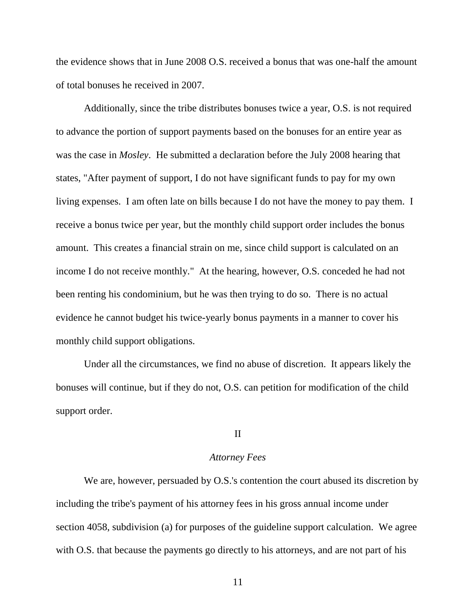the evidence shows that in June 2008 O.S. received a bonus that was one-half the amount of total bonuses he received in 2007.

Additionally, since the tribe distributes bonuses twice a year, O.S. is not required to advance the portion of support payments based on the bonuses for an entire year as was the case in *Mosley*. He submitted a declaration before the July 2008 hearing that states, "After payment of support, I do not have significant funds to pay for my own living expenses. I am often late on bills because I do not have the money to pay them. I receive a bonus twice per year, but the monthly child support order includes the bonus amount. This creates a financial strain on me, since child support is calculated on an income I do not receive monthly." At the hearing, however, O.S. conceded he had not been renting his condominium, but he was then trying to do so. There is no actual evidence he cannot budget his twice-yearly bonus payments in a manner to cover his monthly child support obligations.

Under all the circumstances, we find no abuse of discretion. It appears likely the bonuses will continue, but if they do not, O.S. can petition for modification of the child support order.

## II

#### *Attorney Fees*

We are, however, persuaded by O.S.'s contention the court abused its discretion by including the tribe's payment of his attorney fees in his gross annual income under section 4058, subdivision (a) for purposes of the guideline support calculation. We agree with O.S. that because the payments go directly to his attorneys, and are not part of his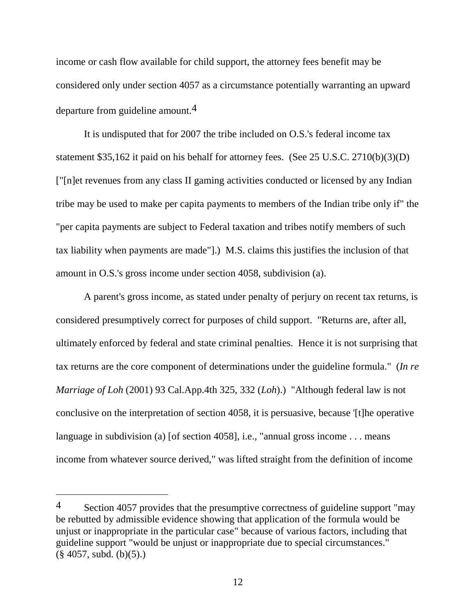income or cash flow available for child support, the attorney fees benefit may be considered only under section 4057 as a circumstance potentially warranting an upward departure from guideline amount.4

It is undisputed that for 2007 the tribe included on O.S.'s federal income tax statement \$35,162 it paid on his behalf for attorney fees. (See 25 U.S.C. 2710(b)(3)(D) ["[n]et revenues from any class II gaming activities conducted or licensed by any Indian tribe may be used to make per capita payments to members of the Indian tribe only if" the "per capita payments are subject to Federal taxation and tribes notify members of such tax liability when payments are made"].) M.S. claims this justifies the inclusion of that amount in O.S.'s gross income under section 4058, subdivision (a).

A parent's gross income, as stated under penalty of perjury on recent tax returns, is considered presumptively correct for purposes of child support. "Returns are, after all, ultimately enforced by federal and state criminal penalties. Hence it is not surprising that tax returns are the core component of determinations under the guideline formula." (*In re Marriage of Loh* (2001) 93 Cal.App.4th 325, 332 (*Loh*).) "Although federal law is not conclusive on the interpretation of section 4058, it is persuasive, because '[t]he operative language in subdivision (a) [of section 4058], i.e., "annual gross income . . . means income from whatever source derived," was lifted straight from the definition of income

<sup>4</sup> Section 4057 provides that the presumptive correctness of guideline support "may" be rebutted by admissible evidence showing that application of the formula would be unjust or inappropriate in the particular case" because of various factors, including that guideline support "would be unjust or inappropriate due to special circumstances."  $(\S$  4057, subd. (b)(5).)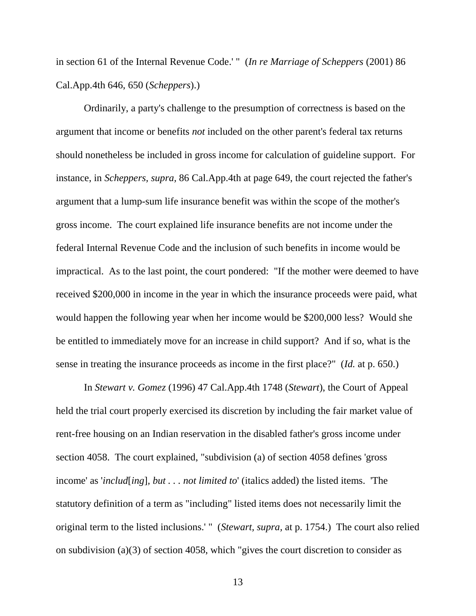in section 61 of the Internal Revenue Code.' " (*In re Marriage of Scheppers* (2001) 86 Cal.App.4th 646, 650 (*Scheppers*).)

Ordinarily, a party's challenge to the presumption of correctness is based on the argument that income or benefits *not* included on the other parent's federal tax returns should nonetheless be included in gross income for calculation of guideline support. For instance, in *Scheppers, supra,* 86 Cal.App.4th at page 649, the court rejected the father's argument that a lump-sum life insurance benefit was within the scope of the mother's gross income. The court explained life insurance benefits are not income under the federal Internal Revenue Code and the inclusion of such benefits in income would be impractical. As to the last point, the court pondered: "If the mother were deemed to have received \$200,000 in income in the year in which the insurance proceeds were paid, what would happen the following year when her income would be \$200,000 less? Would she be entitled to immediately move for an increase in child support? And if so, what is the sense in treating the insurance proceeds as income in the first place?" (*Id.* at p. 650.)

In *Stewart v. Gomez* (1996) 47 Cal.App.4th 1748 (*Stewart*), the Court of Appeal held the trial court properly exercised its discretion by including the fair market value of rent-free housing on an Indian reservation in the disabled father's gross income under section 4058. The court explained, "subdivision (a) of section 4058 defines 'gross income' as '*includ*[*ing*]*, but . . . not limited to*' (italics added) the listed items. 'The statutory definition of a term as "including" listed items does not necessarily limit the original term to the listed inclusions.' " (*Stewart, supra,* at p. 1754.) The court also relied on subdivision (a)(3) of section 4058, which "gives the court discretion to consider as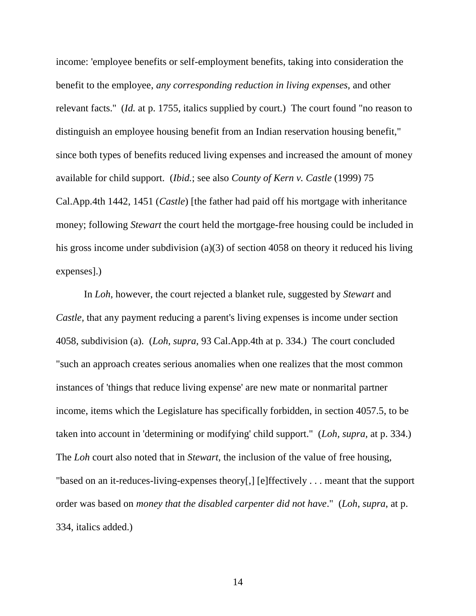income: 'employee benefits or self-employment benefits, taking into consideration the benefit to the employee, *any corresponding reduction in living expenses,* and other relevant facts.'' (*Id.* at p. 1755, italics supplied by court.) The court found "no reason to distinguish an employee housing benefit from an Indian reservation housing benefit," since both types of benefits reduced living expenses and increased the amount of money available for child support. (*Ibid.*; see also *County of Kern v. Castle* (1999) 75 Cal.App.4th 1442, 1451 (*Castle*) [the father had paid off his mortgage with inheritance money; following *Stewart* the court held the mortgage-free housing could be included in his gross income under subdivision (a)(3) of section 4058 on theory it reduced his living expenses].)

In *Loh*, however, the court rejected a blanket rule, suggested by *Stewart* and *Castle*, that any payment reducing a parent's living expenses is income under section 4058, subdivision (a). (*Loh, supra,* 93 Cal.App.4th at p. 334.) The court concluded "such an approach creates serious anomalies when one realizes that the most common instances of 'things that reduce living expense' are new mate or nonmarital partner income, items which the Legislature has specifically forbidden, in section 4057.5, to be taken into account in 'determining or modifying' child support." (*Loh, supra,* at p. 334.) The *Loh* court also noted that in *Stewart,* the inclusion of the value of free housing, "based on an it-reduces-living-expenses theory[,] [e]ffectively . . . meant that the support order was based on *money that the disabled carpenter did not have*." (*Loh*, *supra*, at p. 334, italics added.)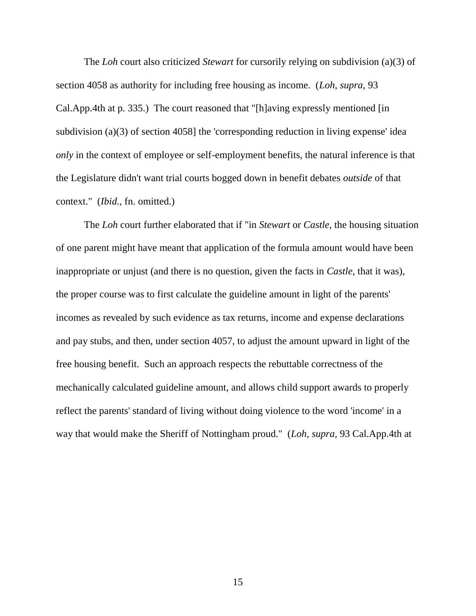The *Loh* court also criticized *Stewart* for cursorily relying on subdivision (a)(3) of section 4058 as authority for including free housing as income. (*Loh, supra,* 93 Cal.App.4th at p. 335.) The court reasoned that "[h]aving expressly mentioned [in subdivision (a)(3) of section 4058] the 'corresponding reduction in living expense' idea *only* in the context of employee or self-employment benefits, the natural inference is that the Legislature didn't want trial courts bogged down in benefit debates *outside* of that context." (*Ibid.,* fn. omitted.)

The *Loh* court further elaborated that if "in *Stewart* or *Castle*, the housing situation of one parent might have meant that application of the formula amount would have been inappropriate or unjust (and there is no question, given the facts in *Castle,* that it was), the proper course was to first calculate the guideline amount in light of the parents' incomes as revealed by such evidence as tax returns, income and expense declarations and pay stubs, and then, under section 4057, to adjust the amount upward in light of the free housing benefit. Such an approach respects the rebuttable correctness of the mechanically calculated guideline amount, and allows child support awards to properly reflect the parents' standard of living without doing violence to the word 'income' in a way that would make the Sheriff of Nottingham proud." (*Loh, supra,* 93 Cal.App.4th at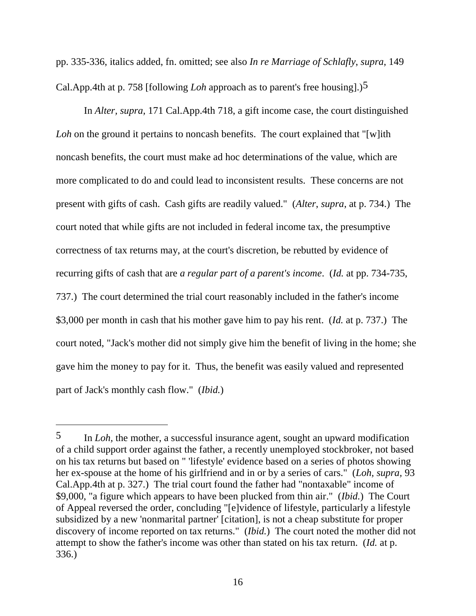pp. 335-336, italics added, fn. omitted; see also *In re Marriage of Schlafly*, *supra*, 149 Cal.App.4th at p. 758 [following *Loh* approach as to parent's free housing].)5

In *Alter, supra,* 171 Cal.App.4th 718, a gift income case, the court distinguished *Loh* on the ground it pertains to noncash benefits. The court explained that "[w]ith noncash benefits, the court must make ad hoc determinations of the value, which are more complicated to do and could lead to inconsistent results. These concerns are not present with gifts of cash. Cash gifts are readily valued." (*Alter*, *supra*, at p. 734.) The court noted that while gifts are not included in federal income tax, the presumptive correctness of tax returns may, at the court's discretion, be rebutted by evidence of recurring gifts of cash that are *a regular part of a parent's income*. (*Id.* at pp. 734-735, 737.) The court determined the trial court reasonably included in the father's income \$3,000 per month in cash that his mother gave him to pay his rent. (*Id.* at p. 737.) The court noted, "Jack's mother did not simply give him the benefit of living in the home; she gave him the money to pay for it. Thus, the benefit was easily valued and represented part of Jack's monthly cash flow." (*Ibid.*)

 $\overline{a}$ 

<sup>5</sup> In *Loh,* the mother, a successful insurance agent, sought an upward modification of a child support order against the father, a recently unemployed stockbroker, not based on his tax returns but based on " 'lifestyle' evidence based on a series of photos showing her ex-spouse at the home of his girlfriend and in or by a series of cars." (*Loh, supra,* 93 Cal.App.4th at p. 327.) The trial court found the father had "nontaxable" income of \$9,000, "a figure which appears to have been plucked from thin air." (*Ibid.*) The Court of Appeal reversed the order, concluding "[e]vidence of lifestyle, particularly a lifestyle subsidized by a new 'nonmarital partner' [citation], is not a cheap substitute for proper discovery of income reported on tax returns." (*Ibid.*) The court noted the mother did not attempt to show the father's income was other than stated on his tax return. (*Id.* at p. 336.)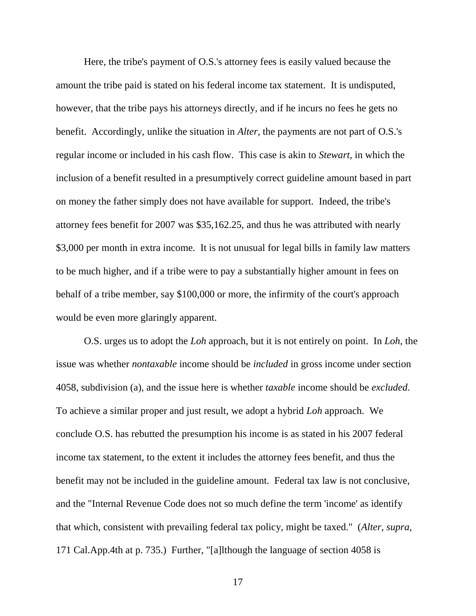Here, the tribe's payment of O.S.'s attorney fees is easily valued because the amount the tribe paid is stated on his federal income tax statement. It is undisputed, however, that the tribe pays his attorneys directly, and if he incurs no fees he gets no benefit. Accordingly, unlike the situation in *Alter,* the payments are not part of O.S.'s regular income or included in his cash flow. This case is akin to *Stewart,* in which the inclusion of a benefit resulted in a presumptively correct guideline amount based in part on money the father simply does not have available for support. Indeed, the tribe's attorney fees benefit for 2007 was \$35,162.25, and thus he was attributed with nearly \$3,000 per month in extra income. It is not unusual for legal bills in family law matters to be much higher, and if a tribe were to pay a substantially higher amount in fees on behalf of a tribe member, say \$100,000 or more, the infirmity of the court's approach would be even more glaringly apparent.

O.S. urges us to adopt the *Loh* approach, but it is not entirely on point. In *Loh,* the issue was whether *nontaxable* income should be *included* in gross income under section 4058, subdivision (a), and the issue here is whether *taxable* income should be *excluded*. To achieve a similar proper and just result, we adopt a hybrid *Loh* approach. We conclude O.S. has rebutted the presumption his income is as stated in his 2007 federal income tax statement, to the extent it includes the attorney fees benefit, and thus the benefit may not be included in the guideline amount. Federal tax law is not conclusive, and the "Internal Revenue Code does not so much define the term 'income' as identify that which, consistent with prevailing federal tax policy, might be taxed." (*Alter, supra,*  171 Cal.App.4th at p. 735.) Further, "[a]lthough the language of section 4058 is